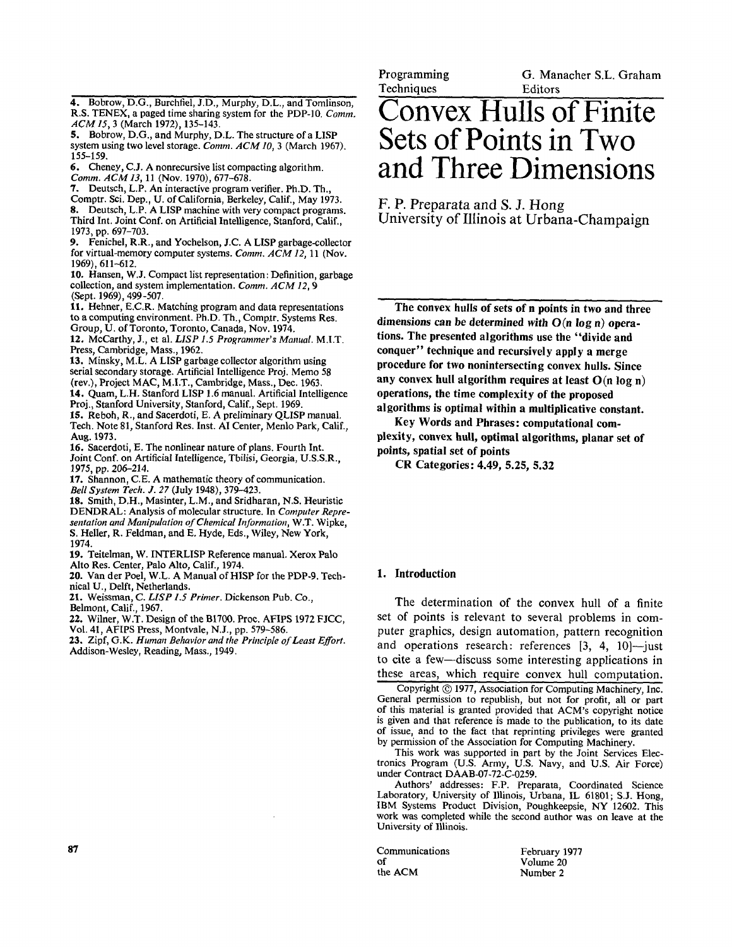4. Bobrow, D.G., Burchfiel, J.D., Murphy, D.L., and Tomlinson, R.S. TENEX, a paged time sharing system for the PDP-10. *Comm. ACM15,* 3 (March 1972), 135-143.

5. Bobrow, D.G., and Murphy, D.L. The structure of a LISP system using two level storage. *Comm. ACM 10,* 3 (March 1967). 155-159.

6. Cheney, C.J. A nonrecursive list compacting algorithm. *Comm. ACM 13,* 11 (Nov. 1970), 677-678.

- 7. Deutsch, L.P. An interactive program verifier. Ph.D. Th.,
- Comptr. Sci. Dep., U. of California, Berkeley, Calif., May 1973. 8. Deutsch, L.P. A LISP machine with very compact programs. Third Int. Joint Conf. on Artificial Intelligence, Stanford, Calif.,
- 1973, pp. 697-703. 9. Fenichel, R.R., and Yochelson, J.C. A LISP garbage-collector

for virtual-memory computer systems. *Comm. ACM 12,* 11 (Nov. 1969), 611-612.

10. Hansen, W.J. Compact list representation: Definition, garbage collection, and system implementation. *Comm. ACM 12, 9*  (Sept. 1969), 499-507.

11. Hehner, E.C.R. Matching program and data representations to a computing environment. Ph.D. Th., Comptr. Systems Res. Group, U. of Toronto, Toronto, Canada, Nov. 1974.

12, McCarthy, J., et al. *LISP 1.5 Programmer's Manual.* M.I.T. Press, Cambridge, Mass., 1962.

13. Minsky, M.L. A LISP garbage collector algorithm using serial secondary storage. Artificial Intelligence Proj. Memo 58 (rev.), Project MAC, M.I.T., Cambridge, Mass., Dec. 1963.

14. Quam, L.H. Stanford LISP 1.6 manual. Artificial Intelligence Proj., Stanford University, Stanford, Calif., Sept. 1969.

15. Reboh, R., and Sacerdoti, E. A preliminary QLISP manual. Tech. Note 81, Stanford Res. Inst. AI Center, Menlo Park, Calif., Aug. 1973.

16. Sacerdoti, E. The nonlinear nature of plans. Fourth Int. Joint Conf. on Artificial Intelligence, Tbilisi, Georgia, U.S.S.R., 1975, pp. *206-214.* 

17. Shannon, C.E. A mathematic theory of communication. *Bell System Tech. J. 27* (July 1948), 379-423.

18. Smith, D.H., Masinter, L.M., and Sridharan, N.S. Heuristic DENDRAL: Analysis of molecular structure. In *Computer Representation and Manipulation of Chemical Information,* W.T. Wipke, S. Heller, R. Feldman, and E. Hyde, Eds., Wiley, New York, 1974.

19. Teitelman, W. INTERLISP Reference manual. Xerox Palo Alto Res. Center, Palo Alto, Calif., 1974.

**20.** Van der Poel, W.L. A Manual of HISP for the PDP-9. Technical U., Delft, Netherlands.

21. Weissman, *C. LISP 1.5 Primer.* Dickenson Pub. Co., Belmont, Calif., 1967.

22. Wilner, W.T. Design of the BI700. Proc. AFIPS 1972 FJCC, Vol. 41, AFIPS Press, Montvale, N.J., pp. 579-586.

23. Zipf, G.K. *Human Behavior and the Prhwiple of Least Effort.*  Addison-Wesley, Reading, Mass., 1949.

Programming **Techniques** 

G. Manacher S.L. Graham Editors

# **Convex Hulls of Finite Sets of Points in Two and Three Dimensions**

**F. P. Preparata and S. J. Hong University of Illinois at Urbana-Champaign** 

**The convex hulls of sets of n points in two and three dimensions can be determined** *with* **O(n log n) operations. The presented algorithms use the "divide and conquer" technique and reeursively apply a merge procedure for two nonintersecting convex hulls. Since any convex hull algorithm requires at least O(n log n) operations, the time complexity of the proposed algorithms is optimal within a multiplicative constant.** 

**Key Words and Phrases: computational complexity, convex hull, optimal algorithms, planar set of points, spatial set of points** 

**CR Categories: 4.49, 5.25, 5.32** 

#### **1. Introduction**

The determination of the convex hull of a finite set of points is relevant to several problems in computer graphics, design automation, pattern recognition and operations research: references  $[3, 4, 10]$ -just to cite a few--discuss some interesting applications in these areas, which require convex hull computation.

Copyright © 1977, Association for Computing Machinery, Inc. General permission to republish, but not for profit, all or part of this material is granted provided that ACM's copyright notice is given and that reference is made to the publication, to its date of issue, and to the fact that reprinting privileges were granted by permission of the Association for Computing Machinery.

This work was supported in part by the Joint Services Electronics Program (U.S. Army, U.S. Navy, and U.S. Air Force) under Contract DAAB-07-72-C-0259.

Authors' addresses: F.P. Preparata, Coordinated Science Laboratory, University of Illinois, Urbana, IL 61801; S.J. Hong, IBM Systems Product Division, Poughkeepsie, NY 12602. This work was completed while the second author was on leave at the University of Illinois.

**87 Communications** February 1977<br> **87 Communications** February 1977 of Volume 20<br>the ACM Number 2

Number 2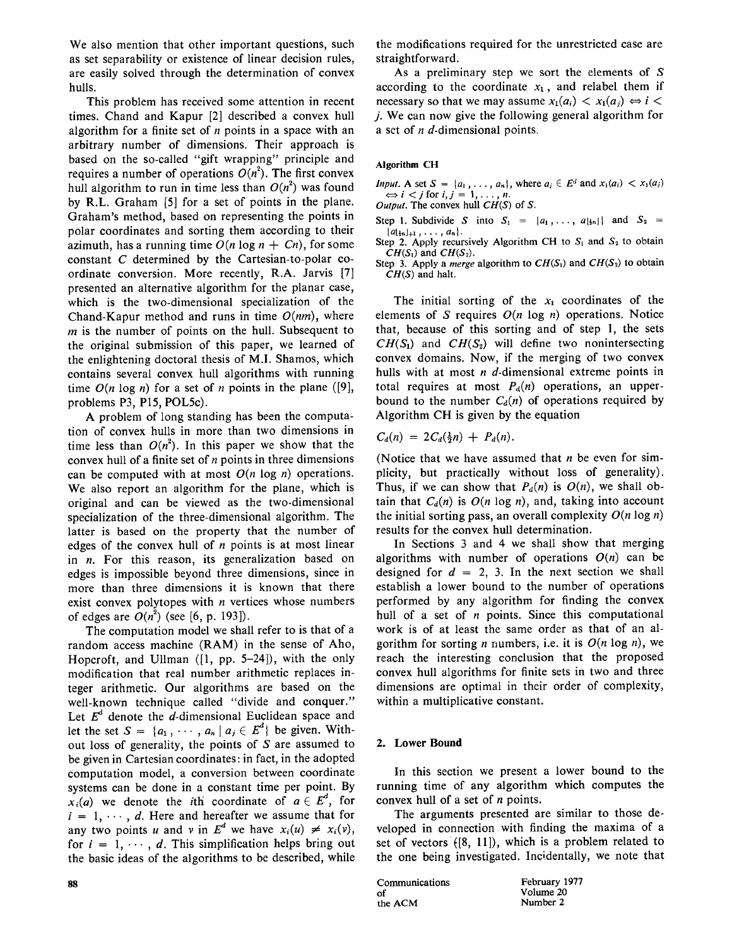We also mention that other important questions, such as set separability or existence of linear decision rules, are easily solved through the determination of convex hulls.

This problem has received some attention in recent times. Chand and Kapur [2] described a convex hull algorithm for a finite set of  $n$  points in a space with an arbitrary number of dimensions. Their approach is based on the so-called "gift wrapping" principle and requires a number of operations  $O(n^2)$ . The first convex hull algorithm to run in time less than  $O(n^2)$  was found by R.L. Graham [5] for a set of points in the plane. Graham's method, based on representing the points in polar coordinates and sorting them according to their azimuth, has a running time  $O(n \log n + C_n)$ , for some constant C determined by the Cartesian-to-polar coordinate conversion. More recently, R.A. Jarvis [7] presented an alternative algorithm for the planar case, which is the two-dimensional specialization of the Chand-Kapur method and runs in time *O(nm),* where  $m$  is the number of points on the hull. Subsequent to the original submission of this paper, we learned of the enlightening doctoral thesis of M.I. Shamos, which contains several convex hull algorithms with running time  $O(n \log n)$  for a set of n points in the plane ([9], problems P3, P15, POL5c).

A problem of long standing has been the computation of convex hulls in more than two dimensions in time less than  $O(n^2)$ . In this paper we show that the convex hull of a finite set of  $n$  points in three dimensions can be computed with at most  $O(n \log n)$  operations. We also report an algorithm for the plane, which is original and can be viewed as the two-dimensional specialization of the three-dimensional algorithm. The latter is based on the property that the number of edges of the convex hull of  $n$  points is at most linear in n. For this reason, its generalization based on edges is impossible beyond three dimensions, since in more than three dimensions it is known that there exist convex polytopes with  $n$  vertices whose numbers of edges are  $O(n^2)$  (see [6, p. 193]).

The computation model we shall refer to is that of a random access machine (RAM) in the sense of Aho, Hopcroft, and Ullman ([1, pp. 5-24]), with the only modification that real number arithmetic replaces integer arithmetic. Our algorithms are based on the well-known technique called "divide and conquer." Let  $E<sup>d</sup>$  denote the d-dimensional Euclidean space and let the set  $S = \{a_1, \dots, a_n | a_j \in E^d\}$  be given. Without loss of generality, the points of  $S$  are assumed to be given in Cartesian coordinates: in fact, in the adopted computation model, a conversion between coordinate systems can be done in a constant time per point. By  $x_i(a)$  we denote the *i*th coordinate of  $a \in E^d$ , for  $i = 1, \dots, d$ . Here and hereafter we assume that for any two points u and v in  $E^d$  we have  $x_i(u) \neq x_i(v)$ , for  $i = 1, \dots, d$ . This simplification helps bring out the basic ideas of the algorithms to be described, while the modifications required for the unrestricted case are straightforward.

As a preliminary step we sort the elements of S according to the coordinate  $x_1$ , and relabel them if necessary so that we may assume  $x_1(a_i) < x_1(a_i) \Leftrightarrow i <$ j. We can now give the following general algorithm for a set of n d-dimensional points.

### **Algorithm CH**

*Input.* A set  $S = \{a_1, \ldots, a_n\}$ , where  $a_i \in E^d$  and  $x_1(a_i) < x_1(a_i)$  $\Leftrightarrow i < j$  for  $i, j = 1, \ldots, n$ .

*Output.* The convex hull *CH(S)* of S.

- Step 1. Subdivide S into  $S_1 = \{a_1, \ldots, a_{\lfloor n \rfloor}\}\$  and  $S_2 =$  ${a_{\{n\+1}, \ldots, a_n\}}$ .
- Step 2. Apply recursively Algorithm CH to  $S_1$  and  $S_2$  to obtain  $CH(S_1)$  and  $CH(S_2)$ .

Step 3. Apply a *merge* algorithm to  $CH(S_1)$  and  $CH(S_2)$  to obtain *CH(S)* and halt.

The initial sorting of the  $x_1$  coordinates of the elements of  $S$  requires  $O(n \log n)$  operations. Notice that, because of this sorting and of step 1, the sets  $CH(S_1)$  and  $CH(S_2)$  will define two nonintersecting convex domains. Now, if the merging of two convex hulls with at most  $n$  d-dimensional extreme points in total requires at most  $P<sub>d</sub>(n)$  operations, an upperbound to the number  $C_d(n)$  of operations required by Algorithm CH is given by the equation

$$
C_d(n) = 2C_d(\frac{1}{2}n) + P_d(n).
$$

(Notice that we have assumed that  $n$  be even for simplicity, but practically without loss of generality). Thus, if we can show that  $P_d(n)$  is  $O(n)$ , we shall obtain that  $C_d(n)$  is  $O(n \log n)$ , and, taking into account the initial sorting pass, an overall complexity  $O(n \log n)$ results for the convex hull determination.

In Sections 3 and 4 we shall show that merging algorithms with number of operations  $O(n)$  can be designed for  $d = 2$ , 3. In the next section we shall establish a lower bound to the number of operations performed by any algorithm for finding the convex hull of a set of  $n$  points. Since this computational work is of at least the same order as that of an algorithm for sorting *n* numbers, i.e. it is  $O(n \log n)$ , we reach the interesting conclusion that the proposed convex hull algorithms for finite sets in two and three dimensions are optimal in their order of complexity, within a multiplicative constant.

### **2. Lower Bound**

In this section we present a lower bound to the running time of any algorithm which computes the convex hull of a set of  $n$  points.

The arguments presented are similar to those developed in connection with finding the maxima of a set of vectors  $([8, 11])$ , which is a problem related to the one being investigated. Incidentally, we note that

Communications February 1977 of Volume 20<br>the ACM Number 2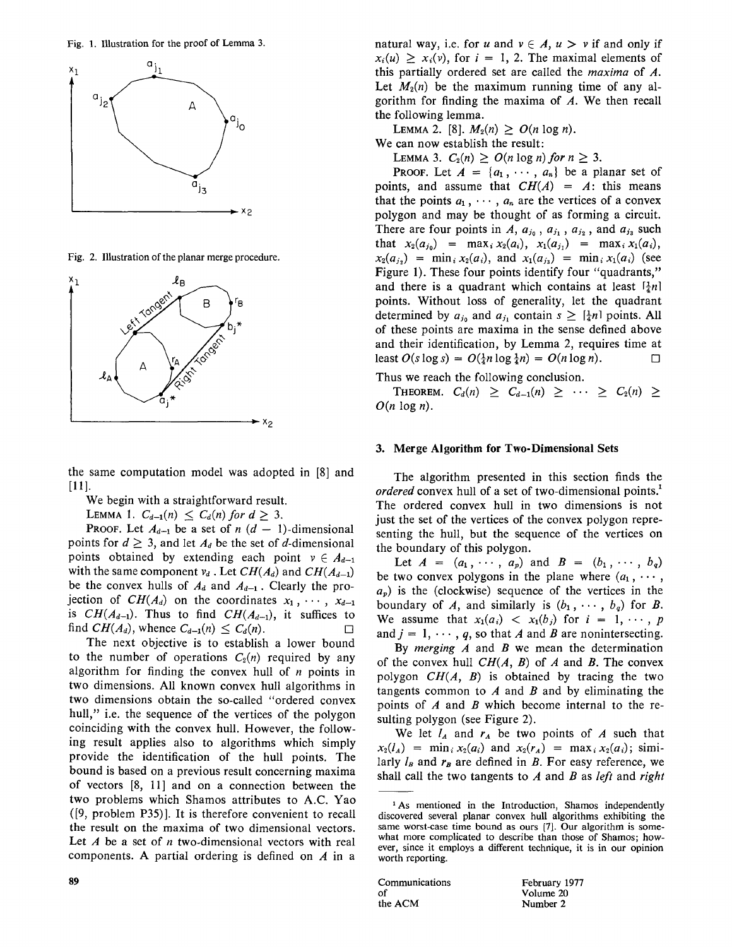Fig. 1. Illustration for the proof of Lemma 3.



Fig. 2. Illustration of the planar merge procedure.



the same computation model was adopted in [8] and [11].

We begin with a straightforward result.

LEMMA 1.  $C_{d-1}(n) < C_d(n)$  for  $d > 3$ .

**PROOF.** Let  $A_{d-1}$  be a set of  $n(d - 1)$ -dimensional points for  $d \geq 3$ , and let  $A_d$  be the set of d-dimensional points obtained by extending each point  $v \in A_{d-1}$ with the same component  $v_d$ . Let  $CH(A_d)$  and  $CH(A_{d-1})$ be the convex hulls of  $A_d$  and  $A_{d-1}$ . Clearly the projection of  $CH(A_d)$  on the coordinates  $x_1, \dots, x_{d-1}$ is  $CH(A_{d-1})$ . Thus to find  $CH(A_{d-1})$ , it suffices to find  $CH(A_d)$ , whence  $C_{d-1}(n) \leq C_d(n)$ .

The next objective is to establish a lower bound to the number of operations  $C_2(n)$  required by any algorithm for finding the convex hull of  $n$  points in two dimensions. All known convex hull algorithms in two dimensions obtain the so-called "ordered convex hull," i.e. the sequence of the vertices of the polygon coinciding with the convex hull. However, the following result applies also to algorithms which simply provide the identification of the hull points. The bound is based on a previous result concerning maxima of vectors [8, 11] and on a connection between the two problems which Shamos attributes to A.C. Yao ([9, problem P35)]. It is therefore convenient to recall the result on the maxima of two dimensional vectors. Let  $A$  be a set of  $n$  two-dimensional vectors with real components. A partial ordering is defined on  $A$  in a natural way, i.e. for u and  $v \in A$ ,  $u > v$  if and only if  $x_i(u) \ge x_i(v)$ , for  $i = 1, 2$ . The maximal elements of this partially ordered set are called the *maxima* of A. Let  $M_2(n)$  be the maximum running time of any algorithm for finding the maxima of A. We then recall the following lemma.

LEMMA 2. [8],  $M_2(n) > O(n \log n)$ . We can now establish the result:

LEMMA 3.  $C_2(n) \geq O(n \log n)$  for  $n \geq 3$ .

**PROOF.** Let  $A = \{a_1, \dots, a_n\}$  be a planar set of points, and assume that  $CH(A) = A$ : this means that the points  $a_1, \dots, a_n$  are the vertices of a convex polygon and may be thought of as forming a circuit. There are four points in  $A$ ,  $a_{j_0}$ ,  $a_{j_1}$ ,  $a_{j_2}$ , and  $a_{j_3}$  such that  $x_2(a_{j_0}) = \max_i x_2(a_i), x_1(a_{j_1}) = \max_i x_1(a_i),$  $x_2(a_{i_2}) = \min_i x_2(a_i)$ , and  $x_1(a_{i_3}) = \min_i x_1(a_i)$  (see Figure 1). These four points identify four "quadrants," and there is a quadrant which contains at least  $\left[\frac{1}{4}n\right]$ points. Without loss of generality, let the quadrant determined by  $a_{j_0}$  and  $a_{j_1}$  contain  $s \geq \lceil \frac{1}{4}n \rceil$  points. All of these points are maxima in the sense defined above and their identification, by Lemma 2, requires time at least  $O(s \log s) = O(\frac{1}{4}n \log \frac{1}{4}n) = O(n \log n)$ .

Thus we reach the following conclusion.

THEOREM.  $C_d(n) \geq C_{d-1}(n) \geq \cdots \geq C_2(n) \geq$  $O(n \log n)$ .

#### 3. **Merge Algorithm for** Two-Dimensional Sets

The algorithm presented in this section finds the *ordered* convex hull of a set of two-dimensional points.<sup>1</sup> The ordered convex hull in two dimensions is not just the set of the vertices of the convex polygon representing the hull, but the sequence of the vertices on the boundary of this polygon.

Let  $A = (a_1, \dots, a_p)$  and  $B = (b_1, \dots, b_q)$ be two convex polygons in the plane where  $(a_1, \cdots, a_n)$  $a_p$ ) is the (clockwise) sequence of the vertices in the boundary of A, and similarly is  $(b_1, \dots, b_q)$  for B. We assume that  $x_1(a_i) < x_1(b_i)$  for  $i = 1, \dots, p$ and  $j = 1, \dots, q$ , so that A and B are nonintersecting.

By *merging A* and B we mean the determination of the convex hull *CH(A, B)* of A and B. The convex polygon *CH(A, B)* is obtained by tracing the two tangents common to  $A$  and  $B$  and by eliminating the points of  $A$  and  $B$  which become internal to the resulting polygon (see Figure 2).

We let  $l_A$  and  $r_A$  be two points of A such that  $x_2(l_A) = \min_i x_2(a_i)$  and  $x_2(r_A) = \max_i x_2(a_i)$ ; similarly  $l_B$  and  $r_B$  are defined in B. For easy reference, we shall call the two tangents to A and B as *left* and *right* 

**89** Communications February 1977 of Volume 20<br>the ACM Number 2

<sup>&</sup>lt;sup>1</sup>As mentioned in the Introduction, Shamos independently discovered several planar convex hull algorithms exhibiting **the**  same worst-case time bound as ours [7]. Our algorithm is somewhat more complicated to describe than those of Shamos; however, since it employs a different technique, it is in our opinion worth reporting.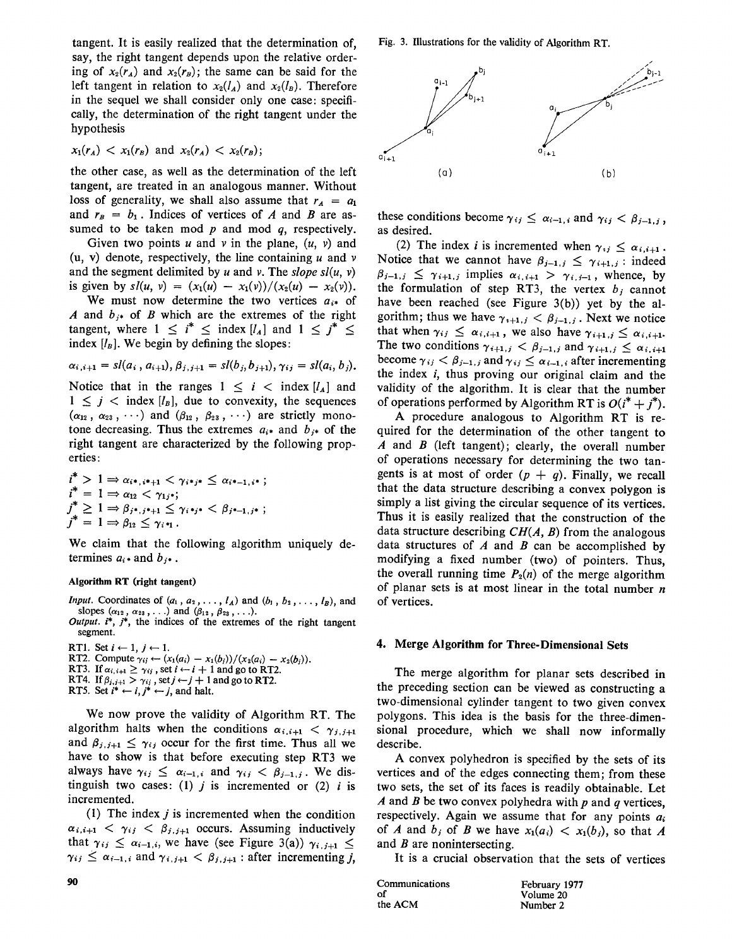tangent. It is easily realized that the determination of, say, the right tangent depends upon the relative ordering of  $x_2(r_A)$  and  $x_2(r_B)$ ; the same can be said for the left tangent in relation to  $x_2(l_A)$  and  $x_2(l_B)$ . Therefore in the sequel we shall consider only one case: specifically, the determination of the right tangent under the hypothesis

$$
x_1(r_A) < x_1(r_B) \text{ and } x_2(r_A) < x_2(r_B);
$$

the other case, as well as the determination of the left tangent, are treated in an analogous manner. Without loss of generality, we shall also assume that  $r_A = a_1$ and  $r_B = b_1$ . Indices of vertices of A and B are assumed to be taken mod  $p$  and mod  $q$ , respectively.

Given two points u and v in the plane,  $(u, v)$  and (u, v) denote, respectively, the line containing  $u$  and  $v$ and the segment delimited by u and v. The *slope sl(u, v)*  is given by  $s/(u, v) = (x_1(u) - x_1(v))/(x_2(u) - x_2(v)).$ 

We must now determine the two vertices  $a_{i*}$  of A and  $b_{i*}$  of B which are the extremes of the right tangent, where  $1 \leq i^* \leq \text{index } [l_A]$  and  $1 \leq j^* \leq$ index  $[l_B]$ . We begin by defining the slopes:

$$
\alpha_{i,i+1} = sl(a_i, a_{i+1}), \beta_{j,i+1} = sl(b_j, b_{j+1}), \gamma_{ij} = sl(a_i, b_j).
$$

Notice that in the ranges  $1 \leq i < \text{index } [l_A]$  and  $1 \leq j \leq \text{index } [l_B]$ , due to convexity, the sequences  $(\alpha_{12}, \alpha_{23}, \cdots)$  and  $(\beta_{12}, \beta_{23}, \cdots)$  are strictly monotone decreasing. Thus the extremes  $a_{i*}$  and  $b_{i*}$  of the right tangent are characterized by the following properties:

$$
i^* > 1 \Rightarrow \alpha_{i^*,i^*+1} < \gamma_{i^*j^*} \leq \alpha_{i^*-1,i^*};
$$
  
\n
$$
i^* = 1 \Rightarrow \alpha_{12} < \gamma_{1j^*};
$$
  
\n
$$
j^* \geq 1 \Rightarrow \beta_{j^*,j^*+1} \leq \gamma_{i^*j^*} < \beta_{j^*-1,j^*};
$$
  
\n
$$
j^* = 1 \Rightarrow \beta_{12} \leq \gamma_{i^*1}.
$$

We claim that the following algorithm uniquely determines  $a_i$  and  $b_j$ .

#### **Algorithm RT (right tangent)**

*Input.* Coordinates of  $(a_1, a_2, \ldots, l_A)$  and  $(b_1, b_2, \ldots, l_B)$ , and slopes  $(\alpha_{12}, \alpha_{23},...)$  and  $(\beta_{12}, \beta_{23},...)$ .

*Output. i\*,* j\*, the indices of the extremes of the right tangent segment.

RT1. Set  $i \leftarrow 1, j \leftarrow 1$ .

- RT2. Compute  $\gamma_{ij} \leftarrow (x_1(a_i) x_1(b_i))/(x_2(a_i) x_2(b_i)).$
- RT3. If  $\alpha_{i,i+1} \geq \gamma_{ij}$ , set  $i \leftarrow i + 1$  and go to RT2.
- RT4. If  $\beta_{i,j+1} > \gamma_{ij}$ , set  $j \leftarrow j+1$  and go to RT2.

RT5. Set  $i^* \leftarrow i, j^* \leftarrow j$ , and halt.

We now prove the validity of Algorithm RT. The algorithm halts when the conditions  $\alpha_{i,i+1} < \gamma_{i,j+1}$ and  $\beta_{j,j+1} \leq \gamma_{ij}$  occur for the first time. Thus all we have to show is that before executing step RT3 we always have  $\gamma_{ij} \leq \alpha_{i-1,i}$  and  $\gamma_{ij} < \beta_{j-1,j}$ . We distinguish two cases: (1)  $j$  is incremented or (2)  $i$  is incremented.

(1) The index  $j$  is incremented when the condition  $\alpha_{i,i+1} < \gamma_{i,j} < \beta_{j,j+1}$  occurs. Assuming inductively that  $\gamma_{ij} \leq \alpha_{i-1,i}$ , we have (see Figure 3(a))  $\gamma_{i,j+1} \leq$  $\gamma_{i,j} \leq \alpha_{i-1,i}$  and  $\gamma_{i,j+1} < \beta_{j,j+1}$ : after incrementing j, Fig. 3. Illustrations for the validity of Algorithm RT.



these conditions become  $\gamma_{ij} \leq \alpha_{i-1,i}$  and  $\gamma_{ij} < \beta_{i-1,j}$ , as desired.

(2) The index *i* is incremented when  $\gamma_{ij} \leq \alpha_{i,i+1}$ . Notice that we cannot have  $\beta_{j-1,j} \leq \gamma_{i+1,j}$ : indeed  $\beta_{j-1,j} \leq \gamma_{i+1,j}$  implies  $\alpha_{i,i+1} > \gamma_{i,j-1}$ , whence, by the formulation of step RT3, the vertex  $b_j$  cannot have been reached (see Figure 3(b)) yet by the algorithm; thus we have  $\gamma_{i+1,j} < \beta_{j-1,j}$ . Next we notice that when  $\gamma_{i,j} \leq \alpha_{i,i+1}$ , we also have  $\gamma_{i+1,j} \leq \alpha_{i,i+1}$ . The two conditions  $\gamma_{i+1,j} < \beta_{j-1,j}$  and  $\gamma_{i+1,j} \leq \alpha_{i,i+1}$ become  $\gamma_{ij} < \beta_{j-1,j}$  and  $\gamma_{ij} \leq \alpha_{i-1,i}$  after incrementing the index  $i$ , thus proving our original claim and the validity of the algorithm. It is clear that the number of operations performed by Algorithm RT is  $O(i^* + j^*)$ .

A procedure analogous to Algorithm RT is required for the determination of the other tangent to A and  $B$  (left tangent); clearly, the overall number of operations necessary for determining the two tangents is at most of order  $(p + q)$ . Finally, we recall that the data structure describing a convex polygon is simply a list giving the circular sequence of its vertices. Thus it is easily realized that the construction of **the**  data structure describing *CH(A, B)* from the analogous data structures of  $A$  and  $B$  can be accomplished by modifying a fixed number (two) of pointers. Thus, the overall running time  $P_2(n)$  of the merge algorithm of planar sets is at most linear in the total number  $n$ of vertices.

#### **4. Merge Algorithm for Three-Dimensional Sets**

The merge algorithm for planar sets described in the preceding section can be viewed as constructing a two-dimensional cylinder tangent to two given convex polygons. This idea is the basis for the three-dimensional procedure, which we shall now informally describe.

A convex polyhedron is specified by the sets of its vertices and of the edges connecting them; from these two sets, the set of its faces is readily obtainable. Let A and B be two convex polyhedra with  $p$  and  $q$  vertices, respectively. Again we assume that for any points  $a_i$ of A and  $b_j$  of B we have  $x_1(a_i) < x_1(b_j)$ , so that A and  $B$  are nonintersecting.

It is a crucial observation that the sets of vertices

| 90 | Communications | February 1977 |
|----|----------------|---------------|
|    | Ol             | Volume 20     |
|    | the ACM        | Number 2      |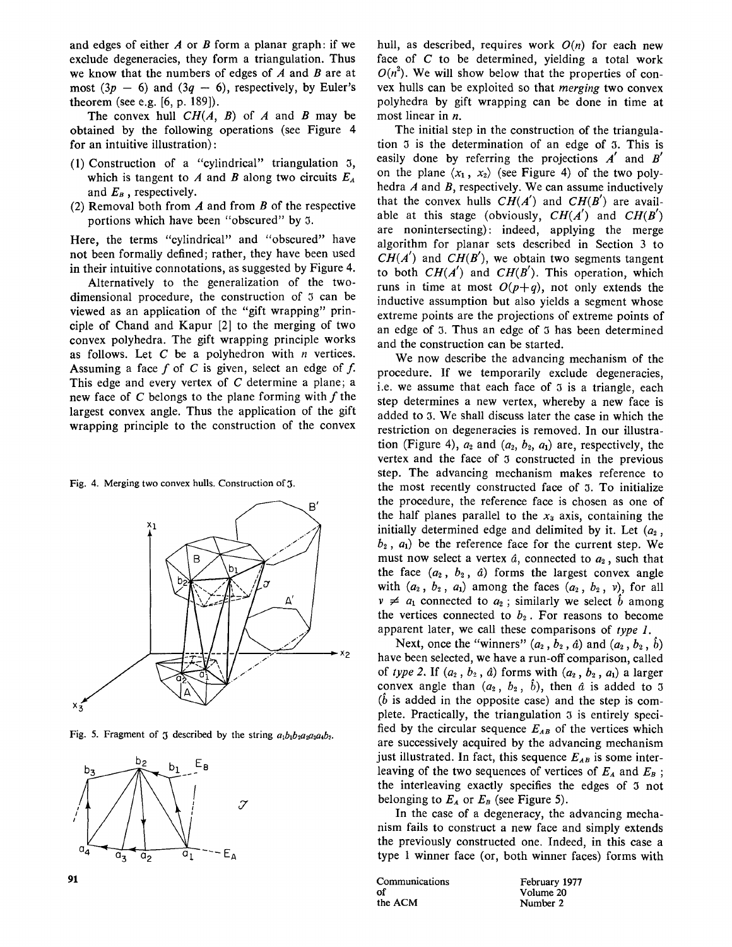and edges of either  $A$  or  $B$  form a planar graph: if we exclude degeneracies, they form a triangulation. Thus we know that the numbers of edges of  $A$  and  $B$  are at most  $(3p - 6)$  and  $(3q - 6)$ , respectively, by Euler's theorem (see e.g. [6, p. 189]).

The convex hull  $CH(A, B)$  of A and B may be obtained by the following operations (see Figure 4 for an intuitive illustration):

- (1) Construction of a "cylindrical" triangulation 3, which is tangent to A and B along two circuits  $E_A$ and  $E_B$ , respectively.
- (2) Removal both from  $A$  and from  $B$  of the respective portions which have been "obscured" by 3.

Here, the terms "cylindrical" and "obscured" have not been formally defined; rather, they have been used in their intuitive connotations, as suggested by Figure 4.

Alternatively to the generalization of the twodimensional procedure, the construction of 3 can be viewed as an application of the "gift wrapping" principle of Chand and Kapur [2] to the merging of two convex polyhedra. The gift wrapping principle works as follows. Let  $C$  be a polyhedron with  $n$  vertices. Assuming a face  $f$  of  $C$  is given, select an edge of  $f$ . This edge and every vertex of C determine a plane; a new face of C belongs to the plane forming with  $f$  the largest convex angle. Thus the application of the gift wrapping principle to the construction of the convex

Fig. 4. Merging two convex hulls. Construction of 3.



Fig. 5. Fragment of 3 described by the string  $a_1b_1b_2a_2a_3a_4b_3$ .



hull, as described, requires work  $O(n)$  for each new face of C to be determined, yielding a total work  $O(n^2)$ . We will show below that the properties of convex hulls can be exploited so that *merging* two convex polyhedra by gift wrapping can be done in time at most linear in *n*.

The initial step in the construction of the triangulation 3 is the determination of an edge of 3. This is easily done by referring the projections  $A'$  and  $B'$ on the plane  $\langle x_1, x_2 \rangle$  (see Figure 4) of the two polyhedra A and B, respectively. We can assume inductively that the convex hulls  $CH(A')$  and  $CH(B')$  are available at this stage (obviously,  $CH(A')$  and  $CH(B')$ are nonintersecting): indeed, applying the merge algorithm for planar sets described in Section 3 to  $CH(A')$  and  $CH(B')$ , we obtain two segments tangent to both  $CH(A')$  and  $CH(B')$ . This operation, which runs in time at most  $O(p+q)$ , not only extends the inductive assumption but also yields a segment whose extreme points are the projections of extreme points of an edge of 3. Thus an edge of 3 has been determined and the construction can be started.

We now describe the advancing mechanism of the procedure. If we temporarily exclude degeneracies, i.e. we assume that each face of 3 is a triangle, each step determines a new vertex, whereby a new face is added to 3. We shall discuss later the case in which the restriction on degeneracies is removed. In our illustration (Figure 4),  $a_2$  and  $(a_2, b_2, a_1)$  are, respectively, the vertex and the face of 3 constructed in the previous step. The advancing mechanism makes reference to the most recently constructed face of 3. To initialize the procedure, the reference face is chosen as one of the half planes parallel to the  $x_3$  axis, containing the initially determined edge and delimited by it. Let  $(a_2, a_3)$ ,  $b_2$ ,  $a_1$ ) be the reference face for the current step. We must now select a vertex  $\hat{a}$ , connected to  $a_2$ , such that the face  $(a_2, b_2, a)$  forms the largest convex angle with  $(a_2, b_2, a_1)$  among the faces  $(a_2, b_2, v)$ , for all  $v \neq a_1$  connected to  $a_2$ ; similarly we select  $\hat{b}$  among the vertices connected to  $b_2$ . For reasons to become apparent later, we call these comparisons of *type 1.* 

Next, once the "winners"  $(a_2, b_2, \hat{a})$  and  $(a_2, b_2, \hat{b})$ have been selected, we have a run-off comparison, called of *type 2.* If  $(a_2, b_2, a)$  forms with  $(a_2, b_2, a_1)$  a larger convex angle than  $(a_2, b_2, b)$ , then  $\hat{a}$  is added to 3  $(b$  is added in the opposite case) and the step is complete. Practically, the triangulation 3 is entirely specified by the circular sequence  $E_{AB}$  of the vertices which are successively acquired by the advancing mechanism just illustrated. In fact, this sequence  $E_{AB}$  is some interleaving of the two sequences of vertices of  $E_A$  and  $E_B$ ; the interleaving exactly specifies the edges of 3 not belonging to  $E_A$  or  $E_B$  (see Figure 5).

In the case of a degeneracy, the advancing mechanism fails to construct a new face and simply extends the previously constructed one. Indeed, in this case a type 1 winner face (or, both winner faces) forms with

**Communications** February 1977<br>of Volume 20 of Volume 20<br>the ACM Number 2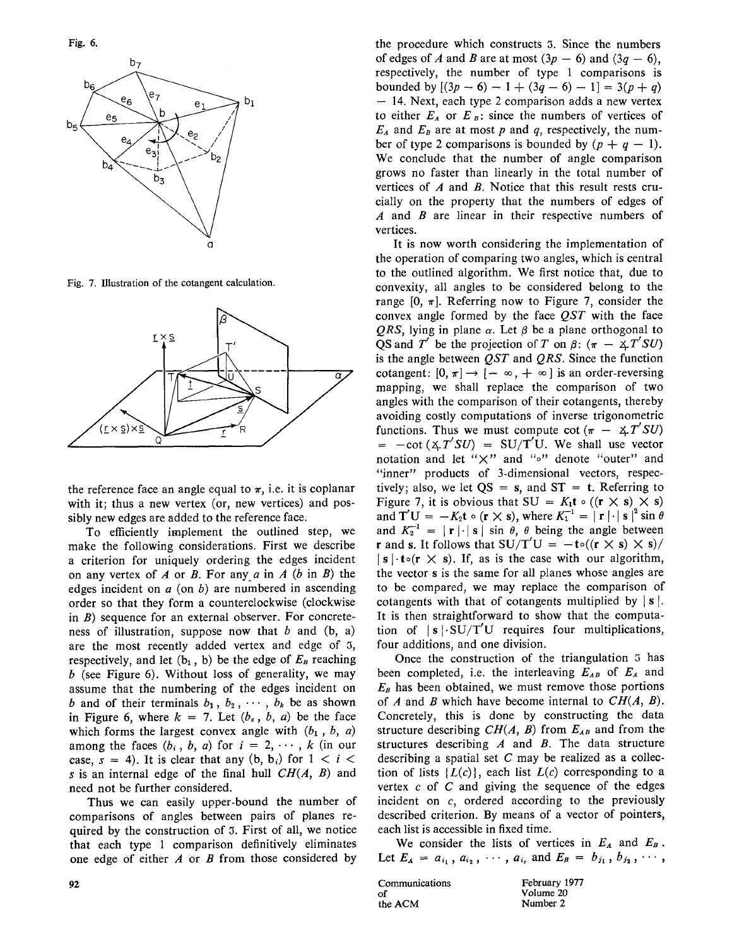Fig. 6.



Fig. 7. Illustration of the cotangent calculation.



the reference face an angle equal to  $\pi$ , i.e. it is coplanar with it; thus a new vertex (or, new vertices) and possibly new edges are added to the reference face.

To efficiently implement the outlined step, we make the following considerations. First we describe a criterion for uniquely ordering the edges incident on any vertex of A or B. For any a in A  $(b \text{ in } B)$  the edges incident on  $a$  (on  $b$ ) are numbered in ascending order so that they form a counterclockwise (clockwise in  $B$ ) sequence for an external observer. For concreteness of illustration, suppose now that  $b$  and  $(b, a)$ are the most recently added vertex and edge of 3, respectively, and let  $(b_1, b)$  be the edge of  $E_B$  reaching  $b$  (see Figure 6). Without loss of generality, we may assume that the numbering of the edges incident on b and of their terminals  $b_1, b_2, \cdots, b_k$  be as shown in Figure 6, where  $k = 7$ . Let  $(b<sub>s</sub>, b, a)$  be the face which forms the largest convex angle with  $(b_1, b, a)$ among the faces  $(b_i, b, a)$  for  $i = 2, \dots, k$  (in our case,  $s = 4$ ). It is clear that any  $(b, b_i)$  for  $1 < i <$ s is an internal edge of the final hull *CH(A, B)* and need not be further considered.

Thus we can easily upper-bound the number of comparisons of angles between pairs of planes required by the construction of 3. First of all, we notice that each type 1 comparison definitively eliminates one edge of either  $A$  or  $B$  from those considered by

the procedure which constructs 3. Since the numbers of edges of A and B are at most  $(3p - 6)$  and  $(3q - 6)$ , respectively, the number of type 1 comparisons is bounded by  $[(3p - 6) - 1 + (3q - 6) - 1] = 3(p + q)$ -- 14. Next, each type 2 comparison adds a new vertex to either  $E_A$  or  $E_B$ : since the numbers of vertices of  $E_A$  and  $E_B$  are at most p and q, respectively, the number of type 2 comparisons is bounded by  $(p + q - 1)$ . We conclude that the number of angle comparison grows no faster than linearly in the total number of vertices of  $A$  and  $B$ . Notice that this result rests crucially on the property that the numbers of edges of  $A$  and  $B$  are linear in their respective numbers of vertices.

It is now worth considering the implementation of the operation of comparing two angles, which is central to the outlined algorithm. We first notice that, due to convexity, all angles to be considered belong to the range  $[0, \pi]$ . Referring now to Figure 7, consider the convex angle formed by the face *QST* with the face *QRS*, lying in plane  $\alpha$ . Let  $\beta$  be a plane orthogonal to QS and T' be the projection of T on  $\beta$ :  $(\pi - \angle T'SU)$ is the angle between *QST* and *QRS.* Since the function cotangent:  $[0, \pi] \rightarrow [-\infty, +\infty]$  is an order-reversing mapping, we shall replace the comparison of two angles with the comparison of their cotangents, thereby avoiding costly computations of inverse trigonometric functions. Thus we must compute cot  $(\pi - \Delta T'SU)$  $= -\cot(\angle T'SU) = SU/T'U$ . We shall use vector notation and let *"×"* and *"o"* denote "outer" and "inner" products of 3-dimensional vectors, respectively; also, we let  $QS = s$ , and  $ST = t$ . Referring to Figure 7, it is obvious that  $SU = K_1 t \circ ((r \times s) \times s)$ and  $T'U = -K_2t \circ (r \times s)$ , where  $K_1^{-1} = |r| \cdot |s|^2 \sin \theta$ and  $K_2^{-1} = |\mathbf{r}| \cdot |\mathbf{s}| \sin \theta$ ,  $\theta$  being the angle between **r** and **s**. It follows that  $SU/T'U = -t\circ((r \times s) \times s)/$  $|s|\cdot t \circ (r \times s)$ . If, as is the case with our algorithm, the vector s is the same for all planes whose angles are to be compared, we may replace the comparison of cotangents with that of cotangents multiplied by  $|s|$ . It is then straightforward to show that the computation of  $|s| \cdot SU/T'U$  requires four multiplications, four additions, and one division.

Once the construction of the triangulation 5 has been completed, i.e. the interleaving  $E_{AB}$  of  $E_A$  and  $E_B$  has been obtained, we must remove those portions of A and B which have become internal to *CH(A, B).*  Concretely, this is done by constructing the data structure describing  $CH(A, B)$  from  $E_{AB}$  and from the structures describing  $A$  and  $B$ . The data structure describing a spatial set  $C$  may be realized as a collection of lists  ${L(c)}$ , each list  $L(c)$  corresponding to a vertex  $c$  of  $C$  and giving the sequence of the edges incident on c, ordered according to the previously described criterion. By means of a vector of pointers, each list is accessible in fixed time.

We consider the lists of vertices in  $E_A$  and  $E_B$ . Let  $E_A = a_{i_1}, a_{i_2}, \cdots, a_{i_r}$  and  $E_B = b_{j_1}, b_{j_2}, \cdots,$ 

Communications February 1977 of Volume 20<br>the ACM Number 2

Number 2